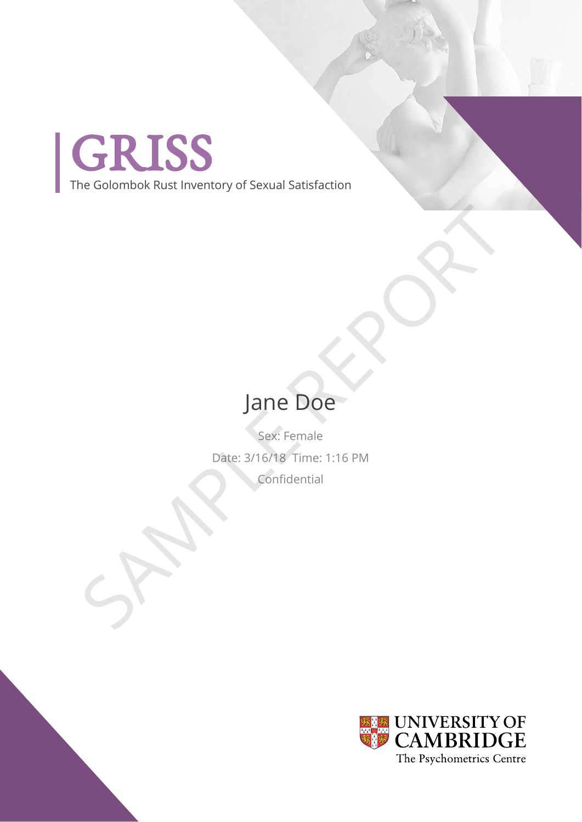

The Golombok Rust Inventory of Sexual Satisfaction

## Jane Doe

Sex: Female Date: 3/16/18 Time: 1:16 PM Confidential Jane Doe

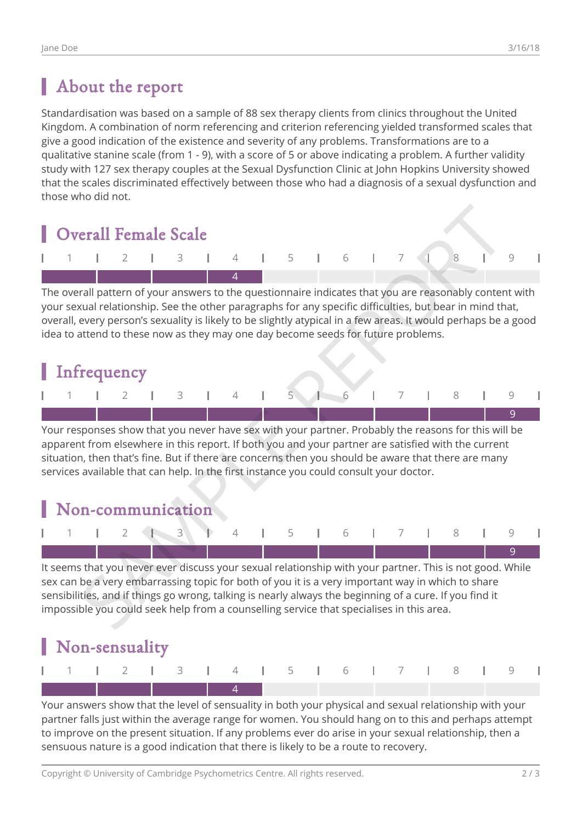#### About the report

Standardisation was based on a sample of 88 sex therapy clients from clinics throughout the United Kingdom. A combination of norm referencing and criterion referencing yielded transformed scales that give a good indication of the existence and severity of any problems. Transformations are to a qualitative stanine scale (from 1 - 9), with a score of 5 or above indicating a problem. A further validity study with 127 sex therapy couples at the Sexual Dysfunction Clinic at John Hopkins University showed that the scales discriminated effectively between those who had a diagnosis of a sexual dysfunction and those who did not.



The overall pattern of your answers to the questionnaire indicates that you are reasonably content with your sexual relationship. See the other paragraphs for any specific difficulties, but bear in mind that, overall, every person's sexuality is likely to be slightly atypical in a few areas. It would perhaps be a good idea to attend to these now as they may one day become seeds for future problems.



Your responses show that you never have sex with your partner. Probably the reasons for this will be apparent from elsewhere in this report. If both you and your partner are satisfied with the current situation, then that's fine. But if there are concerns then you should be aware that there are many services available that can help. In the first instance you could consult your doctor.

#### Non-communication



It seems that you never ever discuss your sexual relationship with your partner. This is not good. While sex can be a very embarrassing topic for both of you it is a very important way in which to share sensibilities, and if things go wrong, talking is nearly always the beginning of a cure. If you find it impossible you could seek help from a counselling service that specialises in this area.



Your answers show that the level of sensuality in both your physical and sexual relationship with your partner falls just within the average range for women. You should hang on to this and perhaps attempt to improve on the present situation. If any problems ever do arise in your sexual relationship, then a sensuous nature is a good indication that there is likely to be a route to recovery.